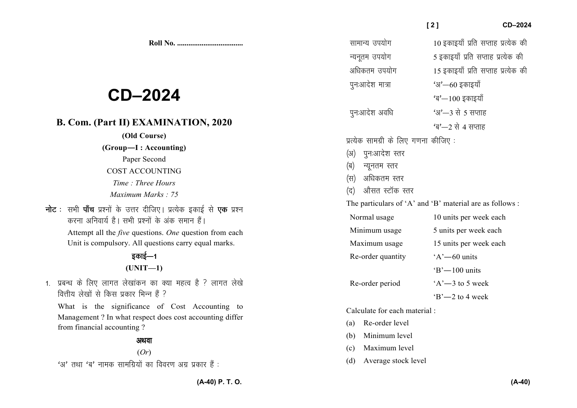**Roll No. ...................................** 

# **CD–2024**

# **B. Com. (Part II) EXAMINATION, 2020**

#### **(Old Course)**

### **(Group—I : Accounting)**

- Paper Second COST ACCOUNTING
- *Time : Three Hours*
- *Maximum Marks : 75*
- **नोट** : सभी **पाँच** प्रश्नों के उत्तर दीजिए। प्रत्येक इकाई से **एक** प्रश्न करना अनिवार्य है। सभी प्रश्नों के अंक समान हैं।

 Attempt all the *five* questions. *One* question from each Unit is compulsory. All questions carry equal marks.

# डकाई—1 **(UNIT—1)**

1. प्रबन्ध के लिए लागत लेखांकन का क्या महत्व है ? लागत लेखे वित्तीय लेखों से किस प्रकार भिन्न हैं ?

What is the significance of Cost Accounting to Management ? In what respect does cost accounting differ from financial accounting ?

### अथवा

## (*Or*)

 $'$ अ' तथा 'ब' नामक सामग्रियों का विवरण अग्र प्रकार हैं :

| सामान्य उपयोग                        | 10 इकाइयाँ प्रति सप्ताह प्रत्येक की                      |
|--------------------------------------|----------------------------------------------------------|
| न्यनूतम उपयोग                        | 5 इकाइयाँ प्रति सप्ताह प्रत्येक की                       |
| अधिकतम उपयोग                         | 15 इकाइयाँ प्रति सप्ताह प्रत्येक की                      |
| पुनःआदेश मात्रा                      | $43 - 60$ इकाइयाँ                                        |
|                                      | 'ब'—100 इकाइयाँ                                          |
| पुनःआदेश अवधि                        | $3' - 3$ से 5 सप्ताह                                     |
|                                      | 'ब'—2 से 4 सप्ताह                                        |
| प्रत्येक सामग्री के लिए गणना कीजिए : |                                                          |
| (अ) पुनःआदेश स्तर                    |                                                          |
| (ब) न्यूनतम स्तर                     |                                                          |
| (स) अधिकतम स्तर                      |                                                          |
| (द) औसत स्टॉक स्तर                   |                                                          |
|                                      | The particulars of 'A' and 'B' material are as follows : |
| Normal usage                         | 10 units per week each                                   |
| Minimum usage                        | 5 units per week each                                    |
| Maximum usage                        | 15 units per week each                                   |
| Re-order quantity                    | $A'$ -60 units                                           |
|                                      | $B' - 100$ units                                         |
| Re-order period                      | $A'$ -3 to 5 week                                        |
|                                      | $B'$ -2 to 4 week                                        |
| Calculate for each material:         |                                                          |
| (a) Re-order level                   |                                                          |
| (b) Minimum level                    |                                                          |

 **[ 2 ] CD–2024** 

- (c) Maximum level
- (d) Average stock level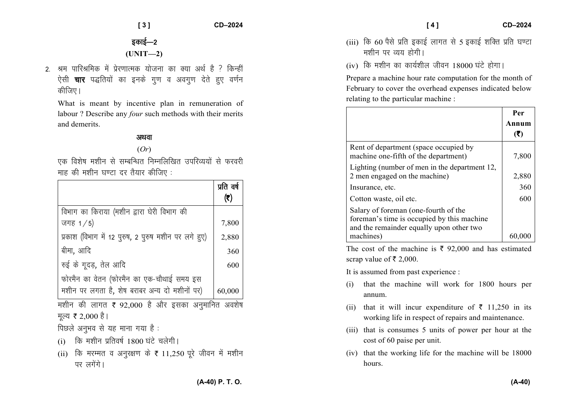$CD - 2024$ 

इकाई—2  $(UNIT-2)$ 

 $131$ 

2 श्रम पारिश्रमिक में पेरणात्मक योजना का क्या अर्थ है ? किन्हीं ऐसी **चार** पद्धतियों का इनके गुण व अवगुण देते हुए वर्णन कीजिए।

What is meant by incentive plan in remuneration of labour? Describe any *four* such methods with their merits and demerits.

### अथवा

 $(Or)$ 

एक विशेष मशीन से सम्बन्धित निम्नलिखित उपरिव्ययों से फरवरी माह की मशीन घण्टा दर तैयार कीजिए:

|                                                      | प्रति वर्ष<br>(₹) |
|------------------------------------------------------|-------------------|
| विभाग का किराया (मशीन द्वारा घेरी विभाग की           |                   |
| जगह $1/5$                                            | 7,800             |
| प्रकाश (विभाग में 12 पुरुष, 2 पुरुष मशीन पर लगे हुए) | 2,880             |
| बीमा, आदि                                            | 360               |
| रुई के गूदड़, तेल आदि                                | 600               |
| फोरमैन का वेतन (फोरमैन का एक-चौथाई समय इस            |                   |
| मशीन पर लगता है, शेष बराबर अन्य दो मशीनों पर)        | 60,000            |

मशीन की लागत ₹ 92,000 है और इसका अनुमानित अवशेष मूल्य ₹ 2,000 है।

पिछले अनुभव से यह माना गया है:

- $(i)$  कि मशीन प्रतिवर्ष 1800 घंटे चलेगी।
- (ii) कि मरम्मत व अनुरक्षण के हैं 11,250 पूरे जीवन में मशीन पर लगेंगे।

(iii) कि 60 पैसे प्रति इकाई लागत से 5 इकाई शक्ति प्रति घण्टा मशीन पर व्यय होगी।

 $I$ 41

(iv) कि मशीन का कार्यशील जीवन 18000 घंटे होगा।

Prepare a machine hour rate computation for the month of February to cover the overhead expenses indicated below relating to the particular machine:

|                                                                                                                                | Per   |
|--------------------------------------------------------------------------------------------------------------------------------|-------|
|                                                                                                                                | Annum |
|                                                                                                                                | (₹)   |
| Rent of department (space occupied by<br>machine one-fifth of the department)                                                  | 7,800 |
| Lighting (number of men in the department 12,<br>2 men engaged on the machine)                                                 | 2,880 |
| Insurance, etc.                                                                                                                | 360   |
| Cotton waste, oil etc.                                                                                                         | 600   |
| Salary of foreman (one-fourth of the<br>foreman's time is occupied by this machine<br>and the remainder equally upon other two |       |
| machines)                                                                                                                      | 60,0  |

The cost of the machine is  $\bar{\tau}$  92,000 and has estimated scrap value of ₹ 2,000.

It is assumed from past experience :

- that the machine will work for 1800 hours per  $(i)$ annum.
- (ii) that it will incur expenditure of  $\bar{\tau}$  11,250 in its working life in respect of repairs and maintenance.
- (iii) that is consumes 5 units of power per hour at the cost of 60 paise per unit.
- (iv) that the working life for the machine will be 18000 hours.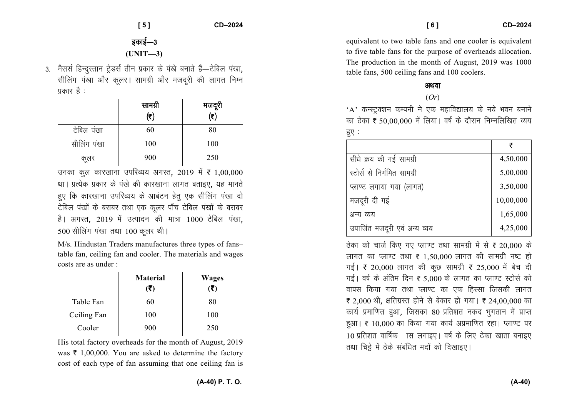**[ 5 ] CD–2024** 

# इकाई—3 **(UNIT—3)**

3. मैसर्स हिन्दस्तान टेडर्स तीन प्रकार के पंखे बनाते हैं—टेबिल पंखा. सीलिंग पंखा और कुलर। सामग्री और मजदूरी की लागत निम्न प्रकार है $\,$  :

|             | सामग्री<br>$(\overline{\tau})$ | मजदूरी<br>$\overline{(\overline{z})}$ |
|-------------|--------------------------------|---------------------------------------|
| टेबिल पंखा  | 60                             | 80                                    |
| सीलिंग पंखा | 100                            | 100                                   |
| कूलर        | 900                            | 250                                   |

उनका कुल कारखाना उपरिव्यय अगस्त, 2019 में **₹** 1,00,000 था। प्रत्येक प्रकार के पंखे की कारखाना लागत बताइए, यह मानते हुए कि कारखाना उपरिव्यय के आबंटन हेतु एक सीलिंग पंखा दो टेबिल पंखों के बराबर तथा एक कुलर पाँच टेबिल पंखों के बराबर है। अगस्त, 2019 में उत्पादन की मात्रा 1000 टेबिल पंखा, 500 सीलिंग पंखा तथा 100 कलर थी।

M/s. Hindustan Traders manufactures three types of fans– table fan, ceiling fan and cooler. The materials and wages costs are as under :

|             | <b>Material</b><br>(₹) | <b>Wages</b><br>(₹) |
|-------------|------------------------|---------------------|
| Table Fan   | 60                     | 80                  |
| Ceiling Fan | 100                    | 100                 |
| Cooler      | 900                    | 250                 |

His total factory overheads for the month of August, 2019 was  $\bar{\tau}$  1,00,000. You are asked to determine the factory cost of each type of fan assuming that one ceiling fan is

equivalent to two table fans and one cooler is equivalent to five table fans for the purpose of overheads allocation. The production in the month of August, 2019 was 1000 table fans, 500 ceiling fans and 100 coolers.

### अथवा

(*Or*)

 $A'$  कन्स्ट्रक्शन कम्पनी ने एक महाविद्यालय के नये भवन बनाने का ठेका ₹ 50,00,000 में लिया। वर्ष के दौरान निम्नलिखित व्यय हुए $:$ 

|                               | ₹         |
|-------------------------------|-----------|
| सीधे क्रय की गई सामग्री       | 4,50,000  |
| स्टोर्स से निर्गमित सामग्री   | 5,00,000  |
| प्लाण्ट लगाया गया (लागत)      | 3,50,000  |
| मजदूरी दी गई                  | 10,00,000 |
| अन्य व्यय                     | 1,65,000  |
| उपार्जित मजदूरी एवं अन्य व्यय | 4,25,000  |

ठेका को चार्ज किए गए प्लाण्ट तथा सामग्री में से ₹ 20,000 के लागत का प्लाण्ट तथा ₹ 1,50,000 लागत की सामग्री नष्ट हो गई। ₹ 20,000 लागत की कुछ सामग्री ₹ 25,000 में बेच दी गई। वर्ष के अंतिम दिन ₹ 5,000 के लागत का प्लाण्ट स्टोर्स को वापस किया गया तथा प्लाण्ट का एक हिस्सा जिसकी लागत र 2,000 थी, क्षतिग्रस्त होने से बेकार हो गया। र 24,00,000 का कार्य प्रमाणित हुआ, जिसका 80 प्रतिशत नकद भुगतान में प्राप्त हुआ। ₹ 10,000 का किया गया कार्य अप्रमाणित रहा। प्लाण्ट पर 10 प्रतिशत वार्षिक ास लगाइए। वर्ष के लिए ठेका खाता बनाइए तथा चिह्ने में ठेके संबंधित मदों को दिखाइए।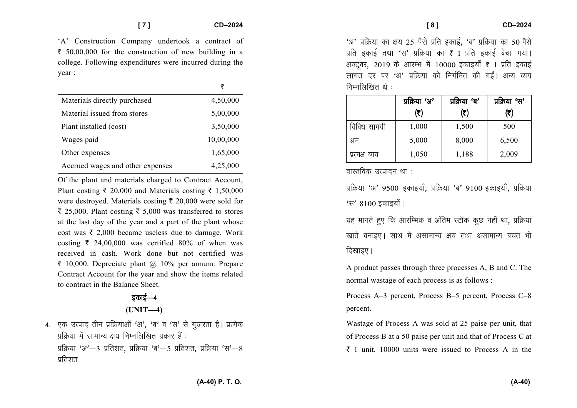'A' Construction Company undertook a contract of  $\bar{\tau}$  50,00,000 for the construction of new building in a college. Following expenditures were incurred during the year :

| Materials directly purchased     | 4,50,000  |
|----------------------------------|-----------|
| Material issued from stores      | 5,00,000  |
| Plant installed (cost)           | 3,50,000  |
| Wages paid                       | 10,00,000 |
| Other expenses                   | 1,65,000  |
| Accrued wages and other expenses | 4,25,000  |

Of the plant and materials charged to Contract Account, Plant costing  $\bar{\tau}$  20,000 and Materials costing  $\bar{\tau}$  1,50,000 were destroyed. Materials costing  $\bar{\tau}$  20,000 were sold for  $\bar{\tau}$  25,000. Plant costing  $\bar{\tau}$  5,000 was transferred to stores at the last day of the year and a part of the plant whose cost was  $\bar{\tau}$  2,000 became useless due to damage. Work costing  $\bar{\tau}$  24,00,000 was certified 80% of when was received in cash. Work done but not certified was  $\bar{\tau}$  10,000. Depreciate plant @ 10% per annum. Prepare Contract Account for the year and show the items related to contract in the Balance Sheet.

# डकाई—4 **(UNIT—4)**

4. एक उत्पाद तीन प्रक्रियाओं 'अ', 'ब' व 'स' से गुजरता है। प्रत्येक प्रक्रिया में सामान्य क्षय निम्नलिखित प्रकार हैं : प्रक्रिया 'अ'—3 प्रतिशत, प्रक्रिया 'ब'—5 प्रतिशत, प्रक्रिया 'स'—8 प्रतिशत

'अ' प्रक्रिया का क्षय 25 पैसे प्रति इकाई, 'ब' प्रक्रिया का 50 पैसे प्रति इकाई तथा 'स' प्रक्रिया का ₹ 1 प्रति इकाई बेचा गया। अक्टूबर, 2019 के आरम्भ में 10000 इकाइयाँ ₹ 1 प्रति इकाई लागत दर पर 'अ' प्रक्रिया को निर्गमित की गईं। अन्य व्यय निम्नलिखित $\dot{\mathbf{c}}$ े :

|                | प्रक्रिया 'अ' | प्रक्रिया 'ब' | प्रक्रिया 'स' |
|----------------|---------------|---------------|---------------|
|                | (₹)           | (₹)           | (₹)           |
| विविध सामग्री  | 1,000         | 1,500         | 500           |
| श्रम           | 5,000         | 8,000         | 6,500         |
| प्रत्यक्ष व्यय | 1,050         | 1,188         | 2,009         |

वास्तविक उत्पादन था $\pm$ 

प्रक्रिया 'अ' 9500 इकाइयाँ, प्रक्रिया 'ब' 9100 इकाइयाँ, प्रक्रिया 'स' 8100 इकाइयाँ ।

यह मानते हुए कि आरम्भिक व अंतिम स्टॉक कूछ नहीं था, प्रक्रिया .<br>खाते बनाइए। साथ में असामान्य क्षय तथा असामान्य बचत भी दिखाइए।

A product passes through three processes A, B and C. The normal wastage of each process is as follows :

Process A–3 percent, Process B–5 percent, Process C–8 percent.

Wastage of Process A was sold at 25 paise per unit, that of Process B at a 50 paise per unit and that of Process C at  $\bar{\tau}$  1 unit. 10000 units were issued to Process A in the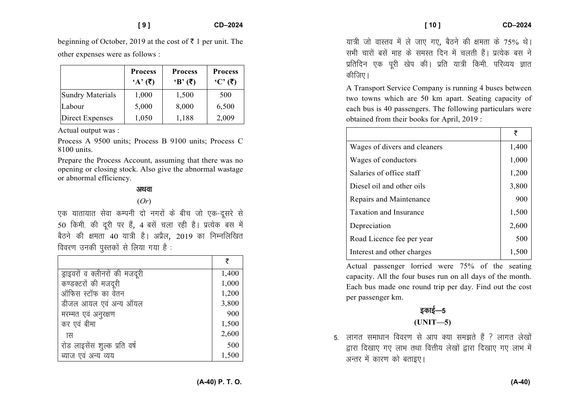**[ 10 ] CD–2024** 

beginning of October, 2019 at the cost of  $\bar{\tau}$  1 per unit. The other expenses were as follows :

|                         | <b>Process</b><br>$A'(\overline{\zeta})$ | <b>Process</b><br>$B'(\overline{\zeta})$ | <b>Process</b><br>$(C, (\bar{\zeta})$ |
|-------------------------|------------------------------------------|------------------------------------------|---------------------------------------|
| <b>Sundry Materials</b> | 1,000                                    | 1,500                                    | 500                                   |
| Labour                  | 5,000                                    | 8,000                                    | 6,500                                 |
| <b>Direct Expenses</b>  | 1,050                                    | 1,188                                    | 2,009                                 |

Actual output was :

Process A 9500 units; Process B 9100 units; Process C 8100 units.

Prepare the Process Account, assuming that there was no opening or closing stock. Also give the abnormal wastage or abnormal efficiency.

#### अथवा

#### (*Or*)

एक यातायात सेवा कम्पनी दो नगरों के बीच जो एक-दूसरे से 50 किमी. की दूरी पर हैं, 4 बसें चला रही है। प्रत्येक बस में बैठने की क्षमता 40 यात्री है। अप्रैल, 2019 का निम्नलिखित विवरण उनकी पुस्तकों से लिया गया है:

|                                | ₹     |
|--------------------------------|-------|
| ड्राइवरों व क्लीनरों की मजदूरी | 1,400 |
| कण्डक्टरों की मजदूरी           | 1,000 |
| ऑफिस स्टॉफ का वेतन             | 1,200 |
| डीजल आयल एवं अन्य ऑयल          | 3,800 |
| मरम्मत एवं अनुरक्षण            | 900   |
| कर एवं बीमा                    | 1,500 |
| ास                             | 2,600 |
| रोड लाइसेंस शुल्क प्रति वर्ष   | 500   |
| ब्याज एवं अन्य व्यय            | 1,500 |

यात्री जो वास्तव में ले जाए गए, बैठने की क्षमता के 75% थे। सभी चारों बसें माह के समस्त दिन में चलती हैं। प्रत्येक बस ने प्रतिदिन एक पूरी खेप की। प्रति यात्री किमी. परिव्यय ज्ञात कीजिए।

A Transport Service Company is running 4 buses between two towns which are 50 km apart. Seating capacity of each bus is 40 passengers. The following particulars were obtained from their books for April, 2019 :

| ₹     |
|-------|
| 1,400 |
| 1,000 |
| 1,200 |
| 3,800 |
| 900   |
| 1,500 |
| 2,600 |
| 500   |
| 1,500 |
|       |

Actual passenger lorried were 75% of the seating capacity. All the four buses run on all days of the month. Each bus made one round trip per day. Find out the cost per passenger km.

# डकाई—5 **(UNIT—5)**

5- लागत समाधान विवरण से आप क्या समझते हैं ? लागत लेखों द्वारा दिखाए गए लाभ तथा वित्तीय लेखों द्वारा दिखाए गए लाभ में अन्तर में कारण को बताइए।